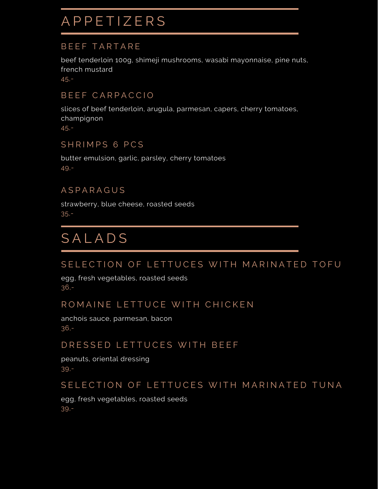## **A P P E T I Z E R S**

### BEEF TARTARE

beef tenderloin 100g, shimeji mushrooms, wasabi mayonnaise, pine nuts, french mustard

45,-

### BEEF CARPACCIO

slices of beef tenderloin, arugula, parmesan, capers, cherry tomatoes, champignon

45,-

### SHRIMPS 6 PCS

butter emulsion, garlic, parsley, cherry tomatoes 49,-

### A S P A R A G U S

strawberry, blue cheese, roasted seeds 35,-

# **SALADS**

### SELECTION OF LETTUCES WITH MARINATED TOFU

egg, fresh vegetables, roasted seeds 36,-

### ROMAINE LETTUCE WITH CHICKEN

anchois sauce, parmesan, bacon 36,-

### DRESSED LETTUCES WITH BEEF

peanuts, oriental dressing 39,-

### SELECTION OF LETTUCES WITH MARINATED TUNA

egg, fresh vegetables, roasted seeds 39,-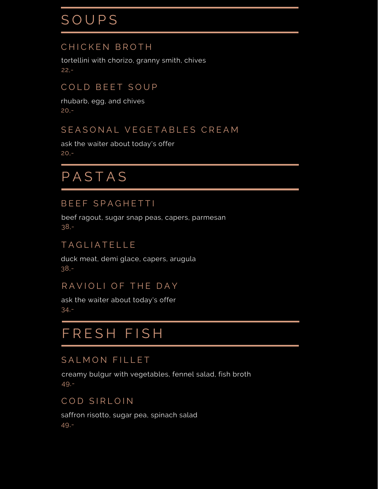# **SOUPS**

### CHICKEN BROTH

tortellini with chorizo, granny smith, chives 22,-

### COLD BEET SOUP

rhubarb, egg, and chives 20,-

### SEASONAL VEGETABLES CREAM

ask the waiter about today's offer 20,-

# **PASTAS**

### BEEF SPAGHETTI

beef ragout, sugar snap peas, capers, parmesan 38,-

### TAGLIATELLE

duck meat, demi glace, capers, arugula 38,-

### RAVIOLI OF THE DAY

ask the waiter about today's offer 34,-

## FRESH FISH

### SALMON FILLET

creamy bulgur with vegetables, fennel salad, fish broth 49,-

### COD SIRLOIN

saffron risotto, sugar pea, spinach salad 49,-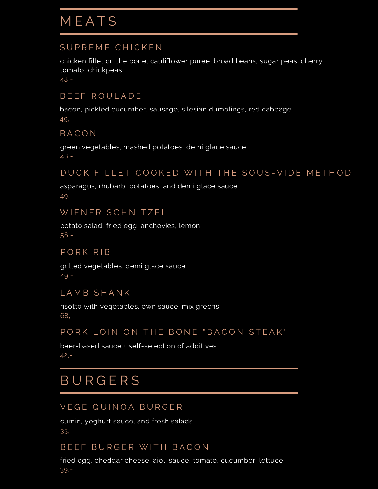### SUPREME CHICKEN

chicken fillet on the bone, cauliflower puree, broad beans, sugar peas, cherry tomato, chickpeas

48,-

### BEEF ROULADE

bacon, pickled cucumber, sausage, silesian dumplings, red cabbage 49,-

### B A C O N

green vegetables, mashed potatoes, demi glace sauce 48,-

#### DUCK FILLET COOKED WITH THE SOUS-VIDE METHOD

asparagus, rhubarb, potatoes, and demi glace sauce 49,-

#### WIENER SCHNITZEL

potato salad, fried egg, anchovies, lemon 56,-

#### PORK RIB

grilled vegetables, demi glace sauce 49,-

#### LAMB SHANK

risotto with vegetables, own sauce, mix greens 68,-

### PORK LOIN ON THE BONE "BACON STEAK"

beer-based sauce + self-selection of additives 42,-

## **BURGERS**

### VEGE QUINOA BURGER

cumin, yoghurt sauce, and fresh salads 35,-

### BEEF BURGER WITH BACON

fried egg, cheddar cheese, aioli sauce, tomato, cucumber, lettuce 39,-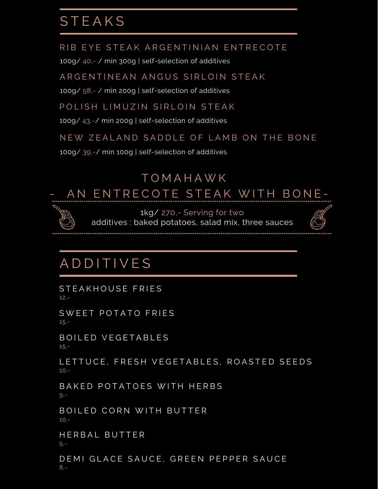## **STEAKS**

RIB EYE STEAK ARGENTINIAN ENTRECOTE

100g/ 40,- / min 300g | self-selection of additives

ARGENTINEAN ANGUS SIRLOIN STEAK

100g/ 58,- / min 200g | self-selection of additives

POLISH LIMUZIN SIRI OIN STEAK

100g/ 43,-/ min 200g | self-selection of additives

NEW ZEALAND SADDLE OF LAMB ON THE BONE

100g/ 39,-/ min 100g | self-selection of additives

# T O M A H A W K AN ENTRECOTE STEAK WITH BONE-



1kg/ 270,- Serving for two

additives : baked potatoes, salad mix, three sauces



# **ADDITIVES**

STEAKHOUSE FRIES 12,-

SWEET POTATO FRIES 15,-

BOILED VEGETABLES 15,-

LETTUCE, FRESH VEGETABLES, ROASTED SEEDS  $10. -$ 

BAKED POTATOES WITH HERBS  $9 -$ 

BOILED CORN WITH BUTTER 10,-

HERBAL BUTTER 5,-

DEMI GLACE SAUCE, GREEN PEPPER SAUCE 8,-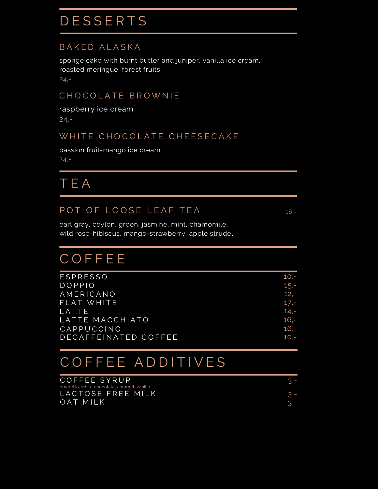# **DESSERTS**

### BAKED ALASKA

sponge cake with burnt butter and juniper, vanilla ice cream, roasted meringue, forest fruits 24,-

### CHOCOLATE BROWNIE

raspberry ice cream 24,-

### WHITE CHOCOLATE CHEESECAKE

passion fruit-mango ice cream 24,-

T E A

### POT OF LOOSE LEAF TEA 16,-

earl gray, ceylon, green, jasmine, mint, chamomile, wild rose-hibiscus, mango-strawberry, apple strudel

# **COFFEE**

| <b>ESPRESSO</b>      | 10.-    |
|----------------------|---------|
| <b>DOPPIO</b>        | $15,-$  |
| AMERICANO            | $12,-$  |
| FLAT WHITE           | $17,-$  |
| LATTE                | $14,-$  |
| LATTE MACCHIATO      | $16,-$  |
| CAPPUCCINO           | $16. -$ |
| DECAFFEINATED COFFEE | $10 -$  |
|                      |         |

# COFFEE ADDITIVES

| COFFEE SYRUP                                |  |
|---------------------------------------------|--|
| amaretto, white chocolate, caramel, vanilla |  |
| LACTOSE FREE MILK                           |  |
| OAT MILK                                    |  |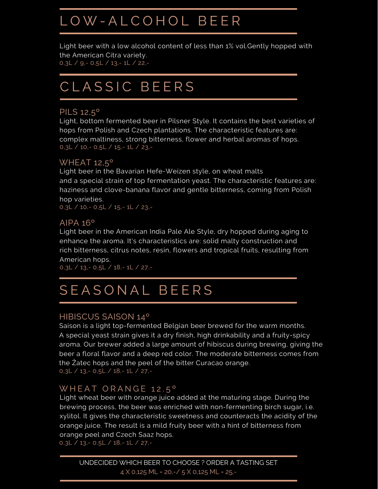# L O W - A L C O H O L B E E R

Light beer with a low alcohol content of less than 1% vol.Gently hopped with the American Citra variety. 0,3L / 9,- 0,5L / 13,- 1L / 22,-

## CLASSIC BEERS

#### PILS 12,5º

Light, bottom fermented beer in Pilsner Style. It contains the best varieties of hops from Polish and Czech plantations. The characteristic features are: complex maltiness, strong bitterness, flower and herbal aromas of hops. 0,3L / 10,- 0,5L / 15,- 1L / 23,-

#### WHEAT 12,5º

Light beer in the Bavarian Hefe-Weizen style, on wheat malts and a special strain of top fermentation yeast. The characteristic features are: haziness and clove-banana flavor and gentle bitterness, coming from Polish hop varieties.

0,3L / 10,- 0,5L / 15,- 1L / 23,-

#### AIPA 16º

Light beer in the American India Pale Ale Style, dry hopped during aging to enhance the aroma. It's characteristics are: solid malty construction and rich bitterness, citrus notes, resin, flowers and tropical fruits, resulting from American hops.

0,3L / 13,- 0,5L / 18,- 1L / 27,-

# SEASONAL BEERS

#### [HIBISCUS](https://www.google.com/url?sa=t&rct=j&q=&esrc=s&source=web&cd=&ved=2ahUKEwiHwNf67cf3AhUVvosKHWVwCvAQFnoECAoQAQ&url=https%3A%2F%2Fwineandhop.com%2Fblogs%2Fnews%2Fbrew-3-hibiscus-saison&usg=AOvVaw2dW2L3Hy4Tdq1SpOtIqy8p) SAISON 14º

0,3L / 13,- 0,5L / 18,- 1L / 27,- Saison is a light top-fermented Belgian beer brewed for the warm months. A special yeast strain gives it a dry finish, high drinkability and a fruity-spicy aroma. Our brewer added a large amount of hibiscus during brewing, giving the beer a floral flavor and a deep red color. The moderate bitterness comes from the Žatec hops and the peel of the bitter Curacao orange.

#### WHEAT ORANGE 12.5°

Light wheat beer with orange juice added at the maturing stage. During the brewing process, the beer was enriched with non-fermenting birch sugar, i.e. xylitol. It gives the characteristic sweetness and counteracts the acidity of the orange juice. The result is a mild fruity beer with a hint of bitterness from orange peel and Czech Saaz hops. 0,3L / 13,- 0,5L / 18,- 1L / 27,-

UNDECIDED WHICH BEER TO CHOOSE ?ORDER A TASTING SET 4 X 0,125 ML = 20,-/ 5 X 0,125 ML = 25,-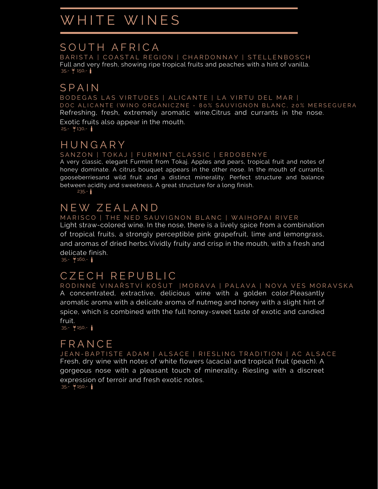## WHITE WINES

### SOUTH AFRICA

BARISTA | COASTAL REGION | CHARDONNAY | STELLENBOSCH Full and very fresh, showing ripe tropical fruits and peaches with a hint of vanilla.  $35 - 7150 - 1$ 

## S P A I N

BODEGAS LAS VIRTUDES | ALICANTE | LA VIRTU DEL MAR | DOC ALICANTE (WINO ORGANICZNE - 80% SAUVIGNON BLANC, 20% MERSEGUERA Refreshing, fresh, extremely aromatic wine.Citrus and currants in the nose.

Exotic fruits also appear in the mouth.  $25 - 7130 - 1$ 

## **HUNGARY**

#### SANZON | TOKAJ | FURMINT CLASSIC | ERDOBENYE

A very classic, elegant Furmint from Tokaj. Apples and pears, tropical fruit and notes of honey dominate. A citrus bouquet appears in the other nose. In the mouth of currants, gooseberriesand wild fruit and a distinct minerality. Perfect structure and balance between acidity and sweetness. A great structure for a long finish.

 $235 - 1$ 

## N E W Z E A L A N D

#### MARISCO | THE NED SAUVIGNON BLANC | WAIHOPAI RIVER

Light straw-colored wine. In the nose, there is a lively spice from a combination of tropical fruits, a strongly perceptible pink grapefruit, lime and lemongrass, and aromas of dried herbs.Vividly fruity and crisp in the mouth, with a fresh and delicate finish.

 $35 - 7160 - 1$ 

## C Z E C H R E P U B L I C

RODINNÉ VINAŘSTVÍ KOŠUT |MORAVA | PALAVA | NOVA VES MORAVSKA A concentrated, extractive, delicious wine with a golden color.Pleasantly aromatic aroma with a delicate aroma of nutmeg and honey with a slight hint of spice, which is combined with the full honey-sweet taste of exotic and candied fruit.  $35 - 150 -$ 

**F R A N C F** 

JEAN-BAPTISTE ADAM | ALSACE | RIESLING TRADITION | AC ALSACE Fresh, dry wine with notes of white flowers (acacia) and tropical fruit (peach). A gorgeous nose with a pleasant touch of minerality. Riesling with a discreet expression of terroir and fresh exotic notes.  $35 - 150 -$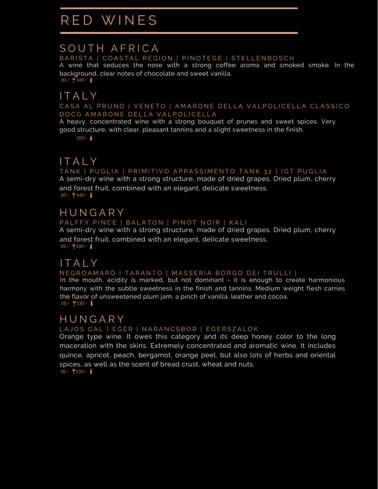# RED WINES

### SOUTH AFRICA

BARISTA | COASTAL REGION | PINOTEGE | STELLENBOSCH

A wine that seduces the nose with a strong coffee aroma and smoked smoke. In the background, clear notes of chocolate and sweet vanilla.  $30 - 140 -$ 

## **ITALY**

CASA AL PRUNO | VENETO | AMARONE DELLA VALPOLICELLA CLASSICO DOCG AMARONE DELLA VALPOLICELLA

A heavy, concentrated wine with a strong bouquet of prunes and sweet spices. Very good structure, with clear, pleasant tannins and a slight sweetness in the finish.

 $350 - 1$ 

## ITAIY

TANK | PUGLIA | PRIMITIVO APPASSIMENTO TANK 32 | IGT PUGLIA A semi-dry wine with a strong structure, made of dried grapes. Dried plum, cherry and forest fruit, combined with an elegant, delicate sweetness.  $30 - 7140 -$ 

### **HUNGARY**

#### PÁLFFY PINCE | BALATON | PINOT NOIR | KALI

A semi-dry wine with a strong structure, made of dried grapes. Dried plum, cherry and forest fruit, combined with an elegant, delicate sweetness.  $25 - 7130 - 1$ 

## **ITALY**

N E GROAMARO | TARANTO | MASSERIA BORGO DEI TRULLI |

In the mouth, acidity is marked, but not dominant - it is enough to create harmonious harmony with the subtle sweetness in the finish and tannins. Medium weight flesh carries the flavor of unsweetened plum jam, a pinch of vanilla, leather and cocoa.  $25 - 7130 - 1$ 

#### LAJOS GAL | EGER | NARANCSBOR | EGERSZALOK **HUNGARY**

Orange type wine. It owes this category and its deep honey color to the long

maceration with the skins. Extremely concentrated and aromatic wine. It includes quince, apricot, peach, bergamot, orange peel, but also lots of herbs and oriental spices, as well as the scent of bread crust, wheat and nuts.

 $25 - 7130 - 1$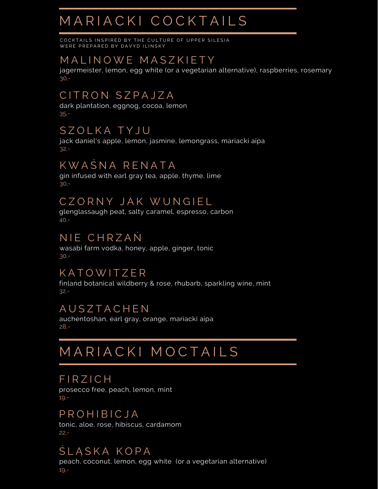# M A R I A C K I C O C K T A I L S

COCKTAILS INSPIRED BY THE CULTURE OF UPPER SILESIA WERE PREPARED BY DAVYD ILINSKY

## M A L I N O W E M A S Z K I E T Y

jagermeister, lemon, egg white (or a vegetarian alternative), raspberries, rosemary 30,-

## CITRON SZPAJZA

dark plantation, eggnog, cocoa, lemon 35,-

## S Z O L K A T Y J U

jack daniel's apple, lemon, jasmine, lemongrass, mariacki aipa 32,-

## K W A Ś N A R E N A T A

gin infused with earl gray tea, apple, thyme, lime 30,-

### CZORNY JAK WUNGIEL

glenglassaugh peat, salty caramel, espresso, carbon 40,-

## N IE CHRZAŃ

wasabi farm vodka, honey, apple, ginger, tonic 30,-

### **KATOWITZER**

finland botanical wildberry & rose, rhubarb, sparkling wine, mint 32,-

### A U S Z T A C H E N

auchentoshan, earl gray, orange, mariacki aipa 28,-

# M A R I A C K I M O C T A I L S

#### **FIRZICH**

prosecco free, peach, lemon, mint 19,-

### P R O H I B I C J A

tonic, aloe, rose, hibiscus, cardamom 22,-

## ŚLASKA KOPA

peach, coconut, lemon, egg white (or a vegetarian alternative) 19,-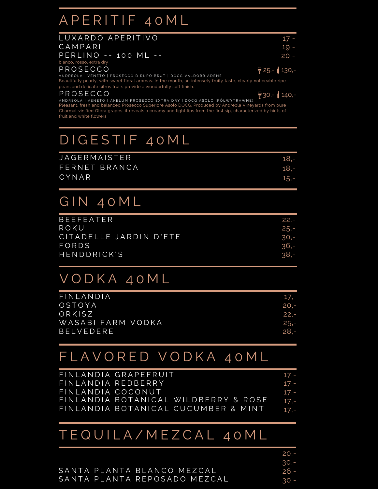## A P E R I T I F 4 0 M L

| LUXARDO APERITIVO                                                                                          | 17.-                 |
|------------------------------------------------------------------------------------------------------------|----------------------|
| CAMPARI                                                                                                    | 19.-                 |
| PERLINO -- 100 ML --                                                                                       | $20 -$               |
| bianco, rosso, extra dry                                                                                   |                      |
| PROSECCO                                                                                                   | $\bigcirc$ 25,-130,- |
| ANDREOLA   VENETO   PROSECCO DIRUPO BRUT   DOCG VALDOBBIADENE                                              |                      |
| Reautifully pearly with sweet floral aromas In the mouth an intensely fruity taste clearly noticeable ripe |                      |

Beautifully pearly, with sweet floral aromas. In the mouth, an intensely fruity taste, clearly noticeable ripe pears and delicate citrus fruits provide a wonderfully soft finish.

#### P R O S E C C O

 $930 - 140$ 

ANDREOLA | VENETO | AKELUM PROSECCO EXTRA DRY | DOCG ASOLO (PÓŁWYTRAWNE) Pleasant, fresh and balanced Prosecco Superiore Asolo DOCG. Produced by Andreola Vineyards from pure Charmat vinified Glera grapes, it reveals a creamy and light lips from the first sip, characterized by hints of fruit and white flowers.

# DIGESTIF 40ML

| <b>JAGERMAISTER</b> | $18 -$ |
|---------------------|--------|
| FERNET BRANCA       | $18 -$ |
| CYNAR               | $15 -$ |
|                     |        |

# GIN 40ML

| $22 -$ |
|--------|
| $25 -$ |
| $30 -$ |
| $36 -$ |
| $38 -$ |
|        |

## VODKA 40ML

| FINLANDIA         | 17.-    |
|-------------------|---------|
| OSTOYA            | $20 -$  |
| ORKISZ            | - 22. – |
| WASABI FARM VODKA | $25 -$  |
| <b>BELVEDERE</b>  | -.28    |
|                   |         |

## FLAVORED VODKA 40ML

|                    | FINLANDIA GRAPEFRUIT                 | 17.-   |
|--------------------|--------------------------------------|--------|
| FINLANDIA REDBERRY |                                      | 17.-   |
| FINLANDIA COCONUT  |                                      | 17.-   |
|                    | FINLANDIA BOTANICAL WILDBERRY & ROSE | $17 -$ |
|                    | FINLANDIA BOTANICAL CUCUMBER & MINT  | $17 -$ |

## TEQUILA/MEZCAL 40ML

|                              | 20.5   |
|------------------------------|--------|
|                              | $30 -$ |
| SANTA PLANTA BLANCO MEZCAL   | - 26.  |
| SANTA PLANTA REPOSADO MEZCAL | $30 -$ |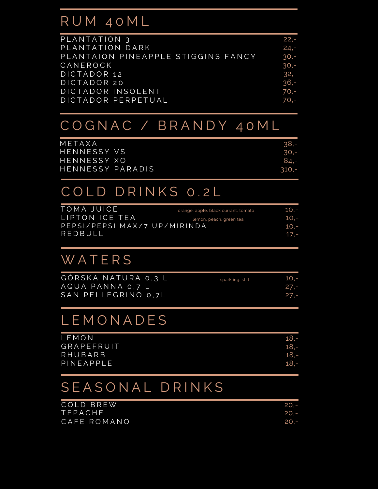## R U M 4 0 M L

| PLANTATION 3                       | $22,-$ |
|------------------------------------|--------|
| PLANTATION DARK                    | $24,-$ |
| PLANTAION PINEAPPLE STIGGINS FANCY | $30 -$ |
| CANEROCK                           | $30 -$ |
| DICTADOR 12                        | $32 -$ |
| DICTADOR 20                        | $36 -$ |
| DICTADOR INSOLENT                  | $70,-$ |
| DICTADOR PERPETUAL                 | $70,-$ |

## C O G N A C / B R A N D Y 4 0 M L

| METAXA           | $.38 -$ |
|------------------|---------|
| HENNESSY VS      | $30 -$  |
| HENNESSY XO      | 84.-    |
| HENNESSY PARADIS | $310 -$ |

## COLD DRINKS 0.2L

| TOMA JUICE                   | orange, apple, black currant, tomato | 10.-    |
|------------------------------|--------------------------------------|---------|
| LIPTON ICE TEA               | lemon, peach, green tea              | $10 -$  |
| PEPSI/PEPSI MAX/7 UP/MIRINDA |                                      | $10. -$ |
| REDBULL                      |                                      | $17. -$ |
|                              |                                      |         |

# **WATERS**

| GORSKA NATURA 0.3 L | sparkling, still | 10.5    |
|---------------------|------------------|---------|
| AQUA PANNA 0.7 L    |                  | - 27. – |
| SAN PELLEGRINO 0.7L |                  | - 27. – |

## **LEMONADES**

| LEMON        | $18 -$ |
|--------------|--------|
| GRAPEFRUIT   | $18 -$ |
| RHUBARB      | $18 -$ |
| $P$ INEAPPLE | $18 -$ |
|              |        |

# SEASONAL DRINKS

| COLD BREW      | $20 -$ |
|----------------|--------|
| <b>TEPACHE</b> | $20 -$ |
| CAFE ROMANO    | $70 -$ |